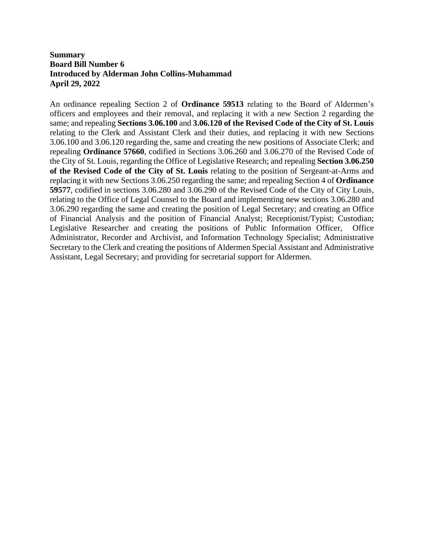## **Summary Board Bill Number 6 Introduced by Alderman John Collins-Muhammad April 29, 2022**

An ordinance repealing Section 2 of **Ordinance 59513** relating to the Board of Aldermen's officers and employees and their removal, and replacing it with a new Section 2 regarding the same; and repealing **Sections 3.06.100** and **3.06.120 of the Revised Code of the City of St. Louis** relating to the Clerk and Assistant Clerk and their duties, and replacing it with new Sections 3.06.100 and 3.06.120 regarding the, same and creating the new positions of Associate Clerk; and repealing **Ordinance 57660**, codified in Sections 3.06.260 and 3.06.270 of the Revised Code of the City of St. Louis, regarding the Office of Legislative Research; and repealing **Section 3.06.250 of the Revised Code of the City of St. Louis** relating to the position of Sergeant-at-Arms and replacing it with new Sections 3.06.250 regarding the same; and repealing Section 4 of **Ordinance 59577**, codified in sections 3.06.280 and 3.06.290 of the Revised Code of the City of City Louis, relating to the Office of Legal Counsel to the Board and implementing new sections 3.06.280 and 3.06.290 regarding the same and creating the position of Legal Secretary; and creating an Office of Financial Analysis and the position of Financial Analyst; Receptionist/Typist; Custodian; Legislative Researcher and creating the positions of Public Information Officer, Office Administrator, Recorder and Archivist, and Information Technology Specialist; Administrative Secretary to the Clerk and creating the positions of Aldermen Special Assistant and Administrative Assistant, Legal Secretary; and providing for secretarial support for Aldermen.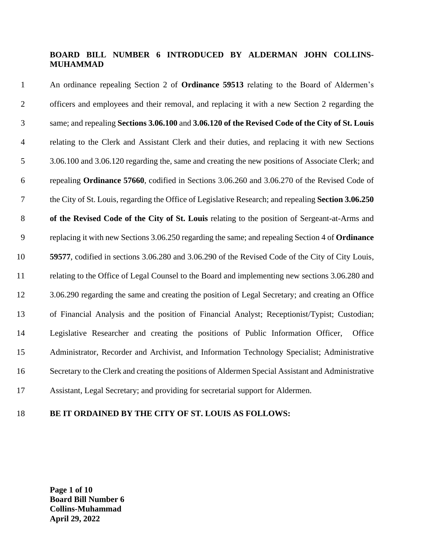# **BOARD BILL NUMBER 6 INTRODUCED BY ALDERMAN JOHN COLLINS-MUHAMMAD**

 An ordinance repealing Section 2 of **Ordinance 59513** relating to the Board of Aldermen's officers and employees and their removal, and replacing it with a new Section 2 regarding the same; and repealing **Sections 3.06.100** and **3.06.120 of the Revised Code of the City of St. Louis** relating to the Clerk and Assistant Clerk and their duties, and replacing it with new Sections 3.06.100 and 3.06.120 regarding the, same and creating the new positions of Associate Clerk; and repealing **Ordinance 57660**, codified in Sections 3.06.260 and 3.06.270 of the Revised Code of the City of St. Louis, regarding the Office of Legislative Research; and repealing **Section 3.06.250 of the Revised Code of the City of St. Louis** relating to the position of Sergeant-at-Arms and replacing it with new Sections 3.06.250 regarding the same; and repealing Section 4 of **Ordinance 59577**, codified in sections 3.06.280 and 3.06.290 of the Revised Code of the City of City Louis, relating to the Office of Legal Counsel to the Board and implementing new sections 3.06.280 and 3.06.290 regarding the same and creating the position of Legal Secretary; and creating an Office of Financial Analysis and the position of Financial Analyst; Receptionist/Typist; Custodian; Legislative Researcher and creating the positions of Public Information Officer, Office Administrator, Recorder and Archivist, and Information Technology Specialist; Administrative Secretary to the Clerk and creating the positions of Aldermen Special Assistant and Administrative Assistant, Legal Secretary; and providing for secretarial support for Aldermen.

#### **BE IT ORDAINED BY THE CITY OF ST. LOUIS AS FOLLOWS:**

**Page 1 of 10 Board Bill Number 6 Collins-Muhammad April 29, 2022**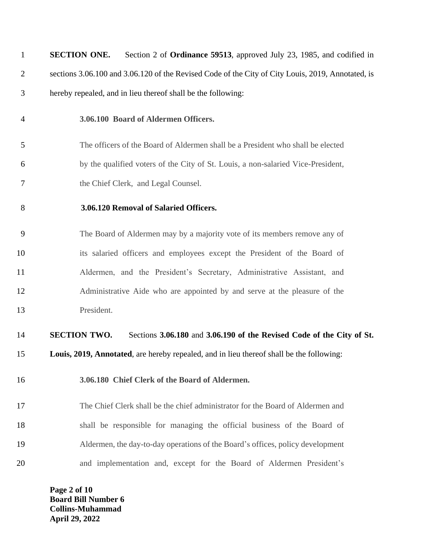| $\mathbf{1}$   | <b>SECTION ONE.</b><br>Section 2 of <b>Ordinance 59513</b> , approved July 23, 1985, and codified in |
|----------------|------------------------------------------------------------------------------------------------------|
| $\overline{2}$ | sections 3.06.100 and 3.06.120 of the Revised Code of the City of City Louis, 2019, Annotated, is    |
| 3              | hereby repealed, and in lieu thereof shall be the following:                                         |
| $\overline{4}$ | 3.06.100 Board of Aldermen Officers.                                                                 |
| 5              | The officers of the Board of Aldermen shall be a President who shall be elected                      |
| 6              | by the qualified voters of the City of St. Louis, a non-salaried Vice-President,                     |
| 7              | the Chief Clerk, and Legal Counsel.                                                                  |
| 8              | 3.06.120 Removal of Salaried Officers.                                                               |
| 9              | The Board of Aldermen may by a majority vote of its members remove any of                            |
| 10             | its salaried officers and employees except the President of the Board of                             |
| 11             | Aldermen, and the President's Secretary, Administrative Assistant, and                               |
| 12             | Administrative Aide who are appointed by and serve at the pleasure of the                            |
| 13             | President.                                                                                           |
| 14             | <b>SECTION TWO.</b><br>Sections 3.06.180 and 3.06.190 of the Revised Code of the City of St.         |
| 15             | Louis, 2019, Annotated, are hereby repealed, and in lieu thereof shall be the following:             |
| 16             | 3.06.180 Chief Clerk of the Board of Aldermen.                                                       |
| 17             | The Chief Clerk shall be the chief administrator for the Board of Aldermen and                       |
| 18             | shall be responsible for managing the official business of the Board of                              |
| 19             | Aldermen, the day-to-day operations of the Board's offices, policy development                       |
| 20             | and implementation and, except for the Board of Aldermen President's                                 |
|                | Page 2 of 10                                                                                         |

**Board Bill Number 6 Collins-Muhammad April 29, 2022**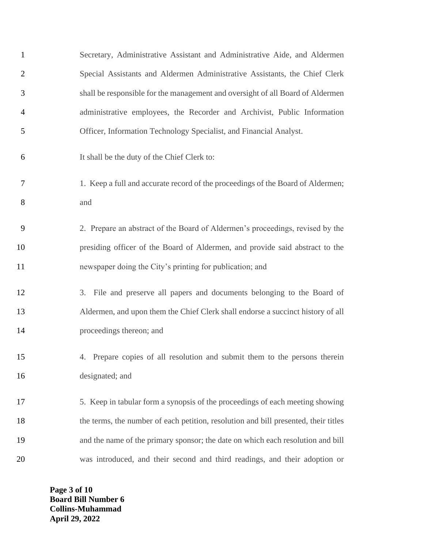| $\mathbf{1}$   | Secretary, Administrative Assistant and Administrative Aide, and Aldermen           |
|----------------|-------------------------------------------------------------------------------------|
| $\overline{2}$ | Special Assistants and Aldermen Administrative Assistants, the Chief Clerk          |
| 3              | shall be responsible for the management and oversight of all Board of Aldermen      |
| $\overline{4}$ | administrative employees, the Recorder and Archivist, Public Information            |
| 5              | Officer, Information Technology Specialist, and Financial Analyst.                  |
| 6              | It shall be the duty of the Chief Clerk to:                                         |
| 7              | 1. Keep a full and accurate record of the proceedings of the Board of Aldermen;     |
| 8              | and                                                                                 |
| 9              | 2. Prepare an abstract of the Board of Aldermen's proceedings, revised by the       |
| 10             | presiding officer of the Board of Aldermen, and provide said abstract to the        |
| 11             | newspaper doing the City's printing for publication; and                            |
| 12             | 3. File and preserve all papers and documents belonging to the Board of             |
| 13             | Aldermen, and upon them the Chief Clerk shall endorse a succinct history of all     |
| 14             | proceedings thereon; and                                                            |
| 15             | 4. Prepare copies of all resolution and submit them to the persons therein          |
| 16             | designated; and                                                                     |
| 17             | 5. Keep in tabular form a synopsis of the proceedings of each meeting showing       |
| 18             | the terms, the number of each petition, resolution and bill presented, their titles |
| 19             | and the name of the primary sponsor; the date on which each resolution and bill     |
| 20             | was introduced, and their second and third readings, and their adoption or          |

**Page 3 of 10 Board Bill Number 6 Collins-Muhammad April 29, 2022**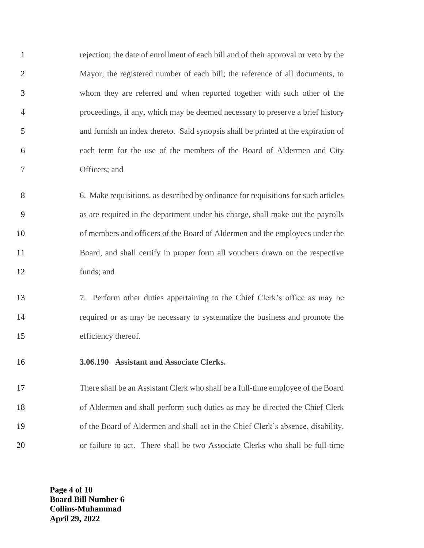rejection; the date of enrollment of each bill and of their approval or veto by the Mayor; the registered number of each bill; the reference of all documents, to whom they are referred and when reported together with such other of the proceedings, if any, which may be deemed necessary to preserve a brief history and furnish an index thereto. Said synopsis shall be printed at the expiration of each term for the use of the members of the Board of Aldermen and City Officers; and

 6. Make requisitions, as described by ordinance for requisitions for such articles as are required in the department under his charge, shall make out the payrolls of members and officers of the Board of Aldermen and the employees under the Board, and shall certify in proper form all vouchers drawn on the respective funds; and

 7. Perform other duties appertaining to the Chief Clerk's office as may be required or as may be necessary to systematize the business and promote the efficiency thereof.

**3.06.190 Assistant and Associate Clerks.**

 There shall be an Assistant Clerk who shall be a full-time employee of the Board of Aldermen and shall perform such duties as may be directed the Chief Clerk of the Board of Aldermen and shall act in the Chief Clerk's absence, disability, or failure to act. There shall be two Associate Clerks who shall be full-time

> **Page 4 of 10 Board Bill Number 6 Collins-Muhammad April 29, 2022**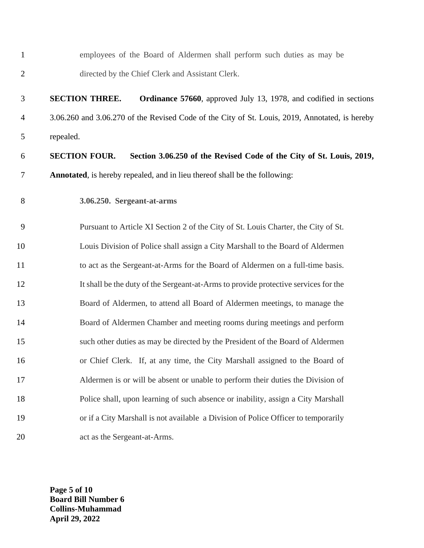| $\mathbf{1}$   | employees of the Board of Aldermen shall perform such duties as may be                         |
|----------------|------------------------------------------------------------------------------------------------|
| $\overline{2}$ | directed by the Chief Clerk and Assistant Clerk.                                               |
| 3              | <b>SECTION THREE.</b><br>Ordinance 57660, approved July 13, 1978, and codified in sections     |
| $\overline{4}$ | 3.06.260 and 3.06.270 of the Revised Code of the City of St. Louis, 2019, Annotated, is hereby |
| 5              | repealed.                                                                                      |
| 6              | <b>SECTION FOUR.</b><br>Section 3.06.250 of the Revised Code of the City of St. Louis, 2019,   |
| 7              | Annotated, is hereby repealed, and in lieu thereof shall be the following:                     |
| 8              | 3.06.250. Sergeant-at-arms                                                                     |
| 9              | Pursuant to Article XI Section 2 of the City of St. Louis Charter, the City of St.             |
| 10             | Louis Division of Police shall assign a City Marshall to the Board of Aldermen                 |
| 11             | to act as the Sergeant-at-Arms for the Board of Aldermen on a full-time basis.                 |
| 12             | It shall be the duty of the Sergeant-at-Arms to provide protective services for the            |
| 13             | Board of Aldermen, to attend all Board of Aldermen meetings, to manage the                     |
| 14             | Board of Aldermen Chamber and meeting rooms during meetings and perform                        |
| 15             | such other duties as may be directed by the President of the Board of Aldermen                 |
| 16             | or Chief Clerk. If, at any time, the City Marshall assigned to the Board of                    |
| 17             | Aldermen is or will be absent or unable to perform their duties the Division of                |
| 18             | Police shall, upon learning of such absence or inability, assign a City Marshall               |
| 19             | or if a City Marshall is not available a Division of Police Officer to temporarily             |
| 20             | act as the Sergeant-at-Arms.                                                                   |
|                |                                                                                                |

**Page 5 of 10 Board Bill Number 6 Collins-Muhammad April 29, 2022**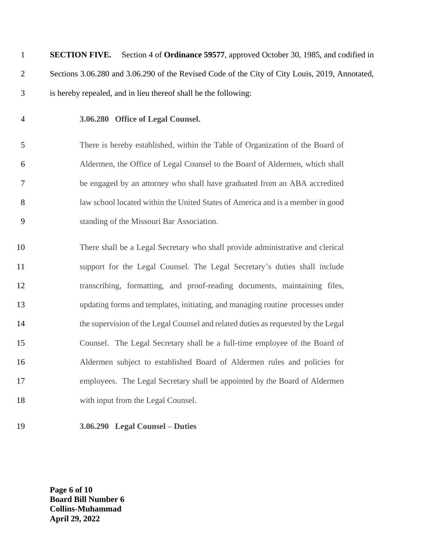**SECTION FIVE.** Section 4 of **Ordinance 59577**, approved October 30, 1985, and codified in Sections 3.06.280 and 3.06.290 of the Revised Code of the City of City Louis, 2019, Annotated, is hereby repealed, and in lieu thereof shall be the following:

#### **3.06.280 Office of Legal Counsel.**

 There is hereby established, within the Table of Organization of the Board of Aldermen, the Office of Legal Counsel to the Board of Aldermen, which shall be engaged by an attorney who shall have graduated from an ABA accredited law school located within the United States of America and is a member in good standing of the Missouri Bar Association.

 There shall be a Legal Secretary who shall provide administrative and clerical support for the Legal Counsel. The Legal Secretary's duties shall include transcribing, formatting, and proof-reading documents, maintaining files, updating forms and templates, initiating, and managing routine processes under the supervision of the Legal Counsel and related duties as requested by the Legal Counsel. The Legal Secretary shall be a full-time employee of the Board of Aldermen subject to established Board of Aldermen rules and policies for employees. The Legal Secretary shall be appointed by the Board of Aldermen 18 with input from the Legal Counsel.

**3.06.290 Legal Counsel – Duties** 

**Page 6 of 10 Board Bill Number 6 Collins-Muhammad April 29, 2022**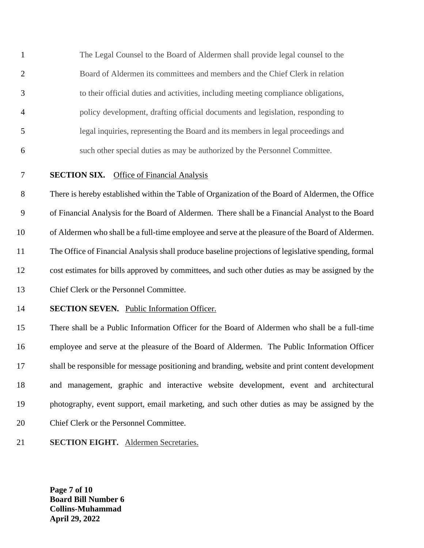The Legal Counsel to the Board of Aldermen shall provide legal counsel to the Board of Aldermen its committees and members and the Chief Clerk in relation to their official duties and activities, including meeting compliance obligations, policy development, drafting official documents and legislation, responding to legal inquiries, representing the Board and its members in legal proceedings and such other special duties as may be authorized by the Personnel Committee.

# **SECTION SIX.** Office of Financial Analysis

 There is hereby established within the Table of Organization of the Board of Aldermen, the Office of Financial Analysis for the Board of Aldermen. There shall be a Financial Analyst to the Board of Aldermen who shall be a full-time employee and serve at the pleasure of the Board of Aldermen. The Office of Financial Analysis shall produce baseline projections of legislative spending, formal cost estimates for bills approved by committees, and such other duties as may be assigned by the Chief Clerk or the Personnel Committee.

# **SECTION SEVEN.** Public Information Officer.

 There shall be a Public Information Officer for the Board of Aldermen who shall be a full-time employee and serve at the pleasure of the Board of Aldermen. The Public Information Officer shall be responsible for message positioning and branding, website and print content development and management, graphic and interactive website development, event and architectural photography, event support, email marketing, and such other duties as may be assigned by the Chief Clerk or the Personnel Committee.

### **SECTION EIGHT.** Aldermen Secretaries.

**Page 7 of 10 Board Bill Number 6 Collins-Muhammad April 29, 2022**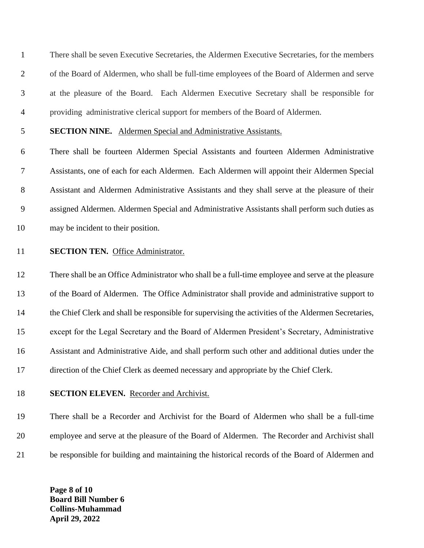There shall be seven Executive Secretaries, the Aldermen Executive Secretaries, for the members of the Board of Aldermen, who shall be full-time employees of the Board of Aldermen and serve at the pleasure of the Board. Each Aldermen Executive Secretary shall be responsible for providing administrative clerical support for members of the Board of Aldermen.

## **SECTION NINE.** Aldermen Special and Administrative Assistants.

 There shall be fourteen Aldermen Special Assistants and fourteen Aldermen Administrative Assistants, one of each for each Aldermen. Each Aldermen will appoint their Aldermen Special Assistant and Aldermen Administrative Assistants and they shall serve at the pleasure of their assigned Aldermen. Aldermen Special and Administrative Assistants shall perform such duties as may be incident to their position.

## **SECTION TEN.** Office Administrator.

 There shall be an Office Administrator who shall be a full-time employee and serve at the pleasure of the Board of Aldermen. The Office Administrator shall provide and administrative support to the Chief Clerk and shall be responsible for supervising the activities of the Aldermen Secretaries, except for the Legal Secretary and the Board of Aldermen President's Secretary, Administrative Assistant and Administrative Aide, and shall perform such other and additional duties under the direction of the Chief Clerk as deemed necessary and appropriate by the Chief Clerk.

#### **SECTION ELEVEN.** Recorder and Archivist.

 There shall be a Recorder and Archivist for the Board of Aldermen who shall be a full-time employee and serve at the pleasure of the Board of Aldermen. The Recorder and Archivist shall be responsible for building and maintaining the historical records of the Board of Aldermen and

**Page 8 of 10 Board Bill Number 6 Collins-Muhammad April 29, 2022**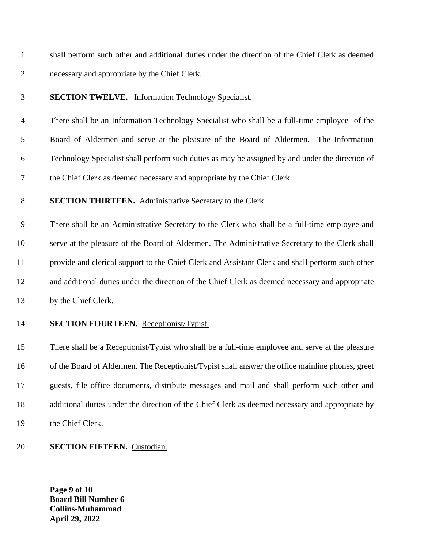shall perform such other and additional duties under the direction of the Chief Clerk as deemed necessary and appropriate by the Chief Clerk.

#### **SECTION TWELVE.** Information Technology Specialist.

 There shall be an Information Technology Specialist who shall be a full-time employee of the Board of Aldermen and serve at the pleasure of the Board of Aldermen. The Information Technology Specialist shall perform such duties as may be assigned by and under the direction of the Chief Clerk as deemed necessary and appropriate by the Chief Clerk.

#### **SECTION THIRTEEN.** Administrative Secretary to the Clerk.

 There shall be an Administrative Secretary to the Clerk who shall be a full-time employee and serve at the pleasure of the Board of Aldermen. The Administrative Secretary to the Clerk shall provide and clerical support to the Chief Clerk and Assistant Clerk and shall perform such other and additional duties under the direction of the Chief Clerk as deemed necessary and appropriate by the Chief Clerk.

#### **SECTION FOURTEEN.** Receptionist/Typist.

 There shall be a Receptionist/Typist who shall be a full-time employee and serve at the pleasure of the Board of Aldermen. The Receptionist/Typist shall answer the office mainline phones, greet guests, file office documents, distribute messages and mail and shall perform such other and additional duties under the direction of the Chief Clerk as deemed necessary and appropriate by the Chief Clerk.

#### **SECTION FIFTEEN.** Custodian.

**Page 9 of 10 Board Bill Number 6 Collins-Muhammad April 29, 2022**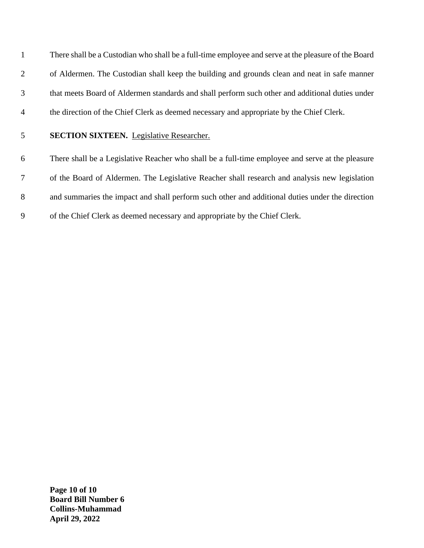There shall be a Custodian who shall be a full-time employee and serve at the pleasure of the Board of Aldermen. The Custodian shall keep the building and grounds clean and neat in safe manner that meets Board of Aldermen standards and shall perform such other and additional duties under the direction of the Chief Clerk as deemed necessary and appropriate by the Chief Clerk.

### **SECTION SIXTEEN.** Legislative Researcher.

 There shall be a Legislative Reacher who shall be a full-time employee and serve at the pleasure of the Board of Aldermen. The Legislative Reacher shall research and analysis new legislation and summaries the impact and shall perform such other and additional duties under the direction of the Chief Clerk as deemed necessary and appropriate by the Chief Clerk.

**Page 10 of 10 Board Bill Number 6 Collins-Muhammad April 29, 2022**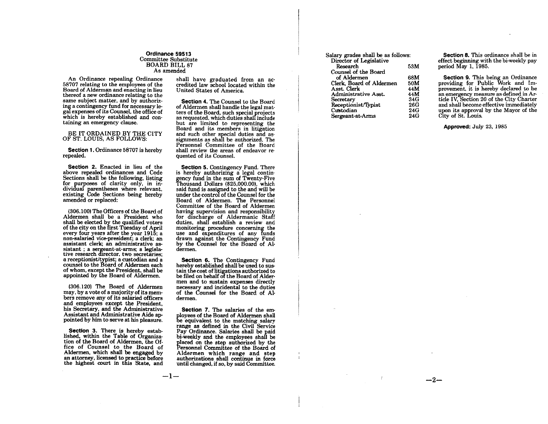Ordinance 59513 Committee Substitute **BOARD BILL 87** As amended

An Ordinance repealing Ordinance<br>58707 relating to the employees of the Board of Alderman and enacting in lieu thereof a new ordinance relating to the same subject matter, and by authorizing a contingency fund for necessary legal expenses of its Counsel, the office of which is hereby established and containing an emergency clause.

#### BE IT ORDAINED BY THE CITY OF ST. LOUIS, AS FOLLOWS:

Section 1. Ordinance 58707 is hereby repealed.

Section 2. Enacted in lieu of the above repealed ordinances and Code Sections shall be the following, listing for purposes of clarity only, in in dividual parentheses where relevant. existing Code Sections being hereby amended or replaced:

(306.100) The Officers of the Board of Aldermen shall be a President who shall be elected by the qualified voters of the city on the first Tuesday of April every four years after the year  $191\overline{5}$ : a non-salaried vice-president; a clerk; an assistant clerk; an administrative assistant ; a sergeant-at-arms; a legisla-<br>tive research director, two secretaries; a receptionist/typist; a custodian and a counsel to the Board of Aldermen each of whom, except the President, shall be appointed by the Board of Aldermen.

(306.120) The Board of Aldermen may, by a vote of a majority of its members remove any of its salaried officers and employees except the President. his Secretary, and the Administrative Assistant and Administrative Aide appointed by him to serve at his pleasure.

Section 3. There is hereby established, within the Table of Organization of the Board of Aldermen, the Office of Counsel to the Board of Aldermen, which shall be engaged by an attorney, licensed to practice before the highest court in this State, and

--1-

shall have graduated from an accredited law school located within the United States of America.

Section 4. The Counsel to the Board of Aldermen shall handle the legal matters of the Board, such special projects as requested, which duties shall include but are limited to representing the Board and its members in litigation and such other special duties and assignments as shall be authorized. The Personnel Committee of the Board shall review the areas of endeavor requested of its Counsel.

Section 5. Contingency Fund. There is hereby authorizing a legal contingency fund in the sum of Twenty-Five<br>Thousand Dollars (\$25,000.00), which said fund is assigned to the and will be<br>under the control of the Counsel for the Board of Aldermen. The Personnel Committee of the Board of Aldermen having supervision and responsibility for discharge of Aldermanic Staff duties, shall establish a review and monitoring procedure concerning the use and expenditures of any funds drawn against the Contingency Fund by the Counsel for the Board of Aldermen.

Section 6. The Contingency Fund hereby established shall be used to sustain the cost of litigations authorized to be filed on behalf of the Board of Aldermen and to sustain expenses directly necessary and incidental to the duties of the Counsel for the Board of Aldermen.

Section 7. The salaries of the employees of the Board of Aldermen shall be equivalent to the matching salary range as defined in the Civil Service Pay Ordinance. Salaries shall be paid bi-weekly and the employees shall be placed on the step authorized by the Personnel Committee of the Board of Aldermen which range and step authorizations shall continue in force until changed, if so, by said Committee.

| Salary grades shall be as follows: |     |  |
|------------------------------------|-----|--|
| Director of Legislative            |     |  |
| Research                           | 53M |  |
| Counsel of the Board               |     |  |
| of Aldermen                        | 68M |  |
| Clerk. Board of Aldermen           | 50M |  |
| Asst. Clerk                        | 44M |  |
| Administrative Asst.               | 44M |  |
| Secretary                          | 34G |  |
| Receptionist/Typist                | 26G |  |
| Custodian                          | 24G |  |
| Sergeant at Arms                   | 24G |  |

Section 8. This ordinance shall be in effect beginning with the bi-weekly pay neriod May 1. 1985.

Section 9. This being an Ordinance providing for Public Work and Improvement, it is hereby declared to be an emergency measure as defined in Article IV, Section 20 of the City Charter and shall become effective immediately upon its approval by the Mayor of the City of St. Louis.

Approved: July 23, 1985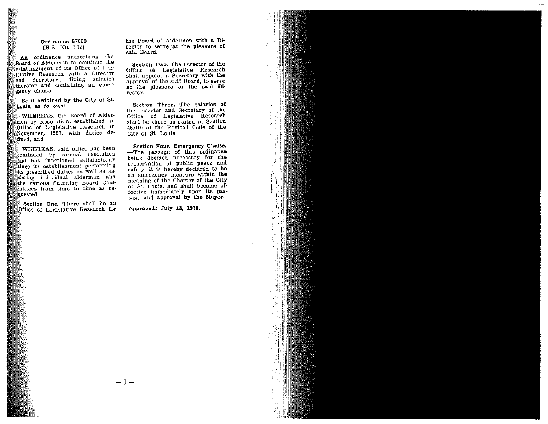#### Ordinance 57660 (B.B. No. 102)

An ordinance authorizing the Board of Aldermen to continue the establishment of its Office of Legislative Research with a Director and Secretary; fixing salaries therefor and containing an emergency clause.

Be it ordained by the City of St. Louis, as follows:

WHEREAS, the Board of Aldermen by Resolution, established an Office of Legislative Research in November, 1957, with duties defined, and

WHEREAS, said office has been continued by annual resolution and has functioned satisfactorily since its establishment performing its prescribed duties as well as assisting individual aldermen and the various Standing Board Committees from time to time as requested.

Section One. There shall be an Office of Legislative Research for the Board of Aldermen with a Director to serve/at the pleasure of said Board.

Section Two. The Director of the Office of Legislative Research shall appoint a Secretary with the approval of the said Board, to serve at the pleasure of the said Director.

Section Three. The salaries of the Director and Secretary of the Office of Legislative Research shall be those as stated in Section 46.010 of the Revised Code of the City of St. Louis.

Section Four. Emergency Clause. -The passage of this ordinance being deemed necessary for the preservation of public peace and safety, it is hereby declared to be an emergency measure within the meaning of the Charter of the City of St. Louis, and shall become effective immediately upon its passage and approval by the Mayor.

Approved: July 13, 1978.

 $-1-$